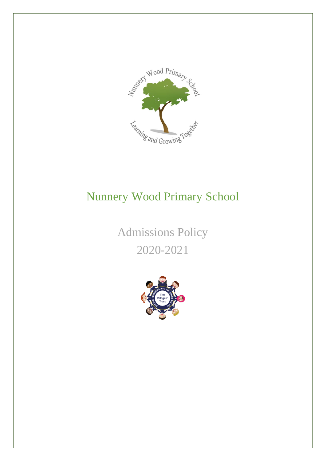

# Nunnery Wood Primary School

Admissions Policy 2020-2021

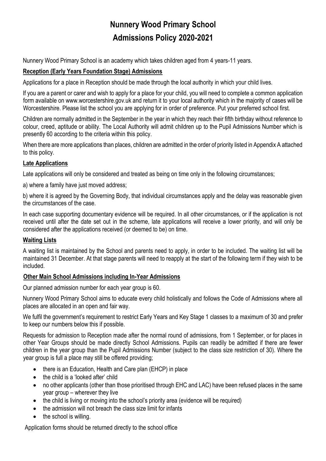# **Nunnery Wood Primary School Admissions Policy 2020-2021**

Nunnery Wood Primary School is an academy which takes children aged from 4 years-11 years.

# **Reception (Early Years Foundation Stage) Admissions**

Applications for a place in Reception should be made through the local authority in which your child lives.

If you are a parent or carer and wish to apply for a place for your child, you will need to complete a common application form available on www.worcestershire.gov.uk and return it to your local authority which in the majority of cases will be Worcestershire. Please list the school you are applying for in order of preference. Put your preferred school first.

Children are normally admitted in the September in the year in which they reach their fifth birthday without reference to colour, creed, aptitude or ability. The Local Authority will admit children up to the Pupil Admissions Number which is presently 60 according to the criteria within this policy.

When there are more applications than places, children are admitted in the order of priority listed in Appendix A attached to this policy.

### **Late Applications**

Late applications will only be considered and treated as being on time only in the following circumstances;

a) where a family have just moved address;

b) where it is agreed by the Governing Body, that individual circumstances apply and the delay was reasonable given the circumstances of the case.

In each case supporting documentary evidence will be required. In all other circumstances, or if the application is not received until after the date set out in the scheme, late applications will receive a lower priority, and will only be considered after the applications received (or deemed to be) on time.

### **Waiting Lists**

A waiting list is maintained by the School and parents need to apply, in order to be included. The waiting list will be maintained 31 December. At that stage parents will need to reapply at the start of the following term if they wish to be included.

# **Other Main School Admissions including In-Year Admissions**

Our planned admission number for each year group is 60.

Nunnery Wood Primary School aims to educate every child holistically and follows the Code of Admissions where all places are allocated in an open and fair way.

We fulfil the government's requirement to restrict Early Years and Key Stage 1 classes to a maximum of 30 and prefer to keep our numbers below this if possible.

Requests for admission to Reception made after the normal round of admissions, from 1 September, or for places in other Year Groups should be made directly School Admissions. Pupils can readily be admitted if there are fewer children in the year group than the Pupil Admissions Number (subject to the class size restriction of 30). Where the year group is full a place may still be offered providing;

- there is an Education, Health and Care plan (EHCP) in place
- the child is a 'looked after' child
- no other applicants (other than those prioritised through EHC and LAC) have been refused places in the same year group – wherever they live
- the child is living or moving into the school's priority area (evidence will be required)
- the admission will not breach the class size limit for infants
- the school is willing.

Application forms should be returned directly to the school office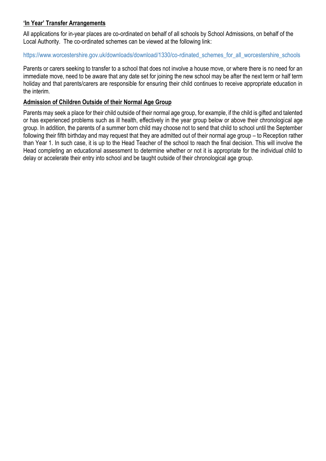## **'In Year' Transfer Arrangements**

All applications for in-year places are co-ordinated on behalf of all schools by School Admissions, on behalf of the Local Authority. The co-ordinated schemes can be viewed at the following link:

### https://www.worcestershire.gov.uk/downloads/download/1330/co-rdinated\_schemes\_for\_all\_worcestershire\_schools

Parents or carers seeking to transfer to a school that does not involve a house move, or where there is no need for an immediate move, need to be aware that any date set for joining the new school may be after the next term or half term holiday and that parents/carers are responsible for ensuring their child continues to receive appropriate education in the interim.

#### **Admission of Children Outside of their Normal Age Group**

Parents may seek a place for their child outside of their normal age group, for example, if the child is gifted and talented or has experienced problems such as ill health, effectively in the year group below or above their chronological age group. In addition, the parents of a summer born child may choose not to send that child to school until the September following their fifth birthday and may request that they are admitted out of their normal age group – to Reception rather than Year 1. In such case, it is up to the Head Teacher of the school to reach the final decision. This will involve the Head completing an educational assessment to determine whether or not it is appropriate for the individual child to delay or accelerate their entry into school and be taught outside of their chronological age group.